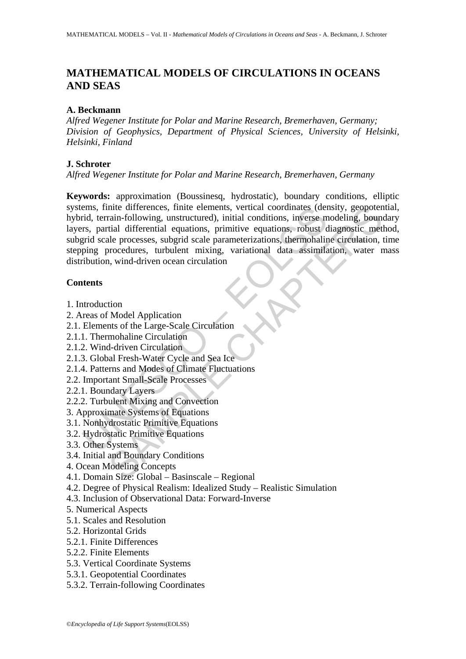# **MATHEMATICAL MODELS OF CIRCULATIONS IN OCEANS AND SEAS**

#### **A. Beckmann**

*Alfred Wegener Institute for Polar and Marine Research, Bremerhaven, Germany; Division of Geophysics, Department of Physical Sciences, University of Helsinki, Helsinki, Finland* 

#### **J. Schroter**

#### *Alfred Wegener Institute for Polar and Marine Research, Bremerhaven, Germany*

emis, tinite differences, finite elements, vertical coordinates (derind, terrain-following, unstructured), initial conditions, inverse may<br>ratio are are, parameterizations, in the procedures of priori scale procedures, rob nite differences, finite elements, vertical coordinates (density, geopotentin-following, unstructured), initial conditions, inverse modeling, bound<br>tital differential equations, primitive equations, robust diagnostic met<br>a **Keywords:** approximation (Boussinesq, hydrostatic), boundary conditions, elliptic systems, finite differences, finite elements, vertical coordinates (density, geopotential, hybrid, terrain-following, unstructured), initial conditions, inverse modeling, boundary layers, partial differential equations, primitive equations, robust diagnostic method, subgrid scale processes, subgrid scale parameterizations, thermohaline circulation, time stepping procedures, turbulent mixing, variational data assimilation, water mass distribution, wind-driven ocean circulation

#### **Contents**

- 1. Introduction
- 2. Areas of Model Application
- 2.1. Elements of the Large-Scale Circulation
- 2.1.1. Thermohaline Circulation
- 2.1.2. Wind-driven Circulation
- 2.1.3. Global Fresh-Water Cycle and Sea Ice
- 2.1.4. Patterns and Modes of Climate Fluctuations
- 2.2. Important Small-Scale Processes
- 2.2.1. Boundary Layers
- 2.2.2. Turbulent Mixing and Convection
- 3. Approximate Systems of Equations
- 3.1. Nonhydrostatic Primitive Equations
- 3.2. Hydrostatic Primitive Equations
- 3.3. Other Systems
- 3.4. Initial and Boundary Conditions
- 4. Ocean Modeling Concepts
- 4.1. Domain Size: Global Basinscale Regional
- 4.2. Degree of Physical Realism: Idealized Study Realistic Simulation
- 4.3. Inclusion of Observational Data: Forward-Inverse
- 5. Numerical Aspects
- 5.1. Scales and Resolution
- 5.2. Horizontal Grids
- 5.2.1. Finite Differences
- 5.2.2. Finite Elements
- 5.3. Vertical Coordinate Systems
- 5.3.1. Geopotential Coordinates
- 5.3.2. Terrain-following Coordinates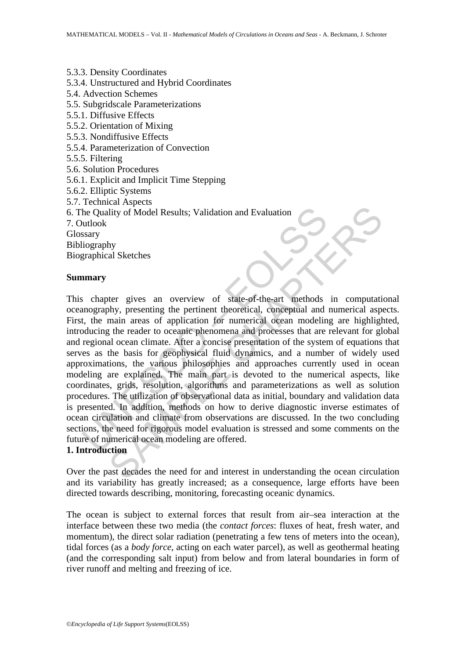5.3.3. Density Coordinates 5.3.4. Unstructured and Hybrid Coordinates 5.4. Advection Schemes 5.5. Subgridscale Parameterizations 5.5.1. Diffusive Effects 5.5.2. Orientation of Mixing 5.5.3. Nondiffusive Effects 5.5.4. Parameterization of Convection 5.5.5. Filtering 5.6. Solution Procedures 5.6.1. Explicit and Implicit Time Stepping 5.6.2. Elliptic Systems 5.7. Technical Aspects 6. The Quality of Model Results; Validation and Evaluation 7. Outlook Glossary Bibliography Biographical Sketches **Summary** 

The Quality of Model Results; Validation and Evaluation<br>
witlook<br>
ssary<br>
utography<br>
utook<br>
ssary<br>
utook<br>
ssary<br>
utook<br>
ssary<br>
marry<br>
scenting the pertinent theoretical, conceptual and<br>
t, the main areas of application for The political set of the median set of the median set of the need for and the median set of the need of a political conseption of numerical appear of a political conseption for numerical ocean modeling are highlight genera This chapter gives an overview of state-of-the-art methods in computational oceanography, presenting the pertinent theoretical, conceptual and numerical aspects. First, the main areas of application for numerical ocean modeling are highlighted, introducing the reader to oceanic phenomena and processes that are relevant for global and regional ocean climate. After a concise presentation of the system of equations that serves as the basis for geophysical fluid dynamics, and a number of widely used approximations, the various philosophies and approaches currently used in ocean modeling are explained. The main part is devoted to the numerical aspects, like coordinates, grids, resolution, algorithms and parameterizations as well as solution procedures. The utilization of observational data as initial, boundary and validation data is presented. In addition, methods on how to derive diagnostic inverse estimates of ocean circulation and climate from observations are discussed. In the two concluding sections, the need for rigorous model evaluation is stressed and some comments on the future of numerical ocean modeling are offered.

### **1. Introduction**

Over the past decades the need for and interest in understanding the ocean circulation and its variability has greatly increased; as a consequence, large efforts have been directed towards describing, monitoring, forecasting oceanic dynamics.

The ocean is subject to external forces that result from air–sea interaction at the interface between these two media (the *contact forces*: fluxes of heat, fresh water, and momentum), the direct solar radiation (penetrating a few tens of meters into the ocean), tidal forces (as a *body force*, acting on each water parcel), as well as geothermal heating (and the corresponding salt input) from below and from lateral boundaries in form of river runoff and melting and freezing of ice.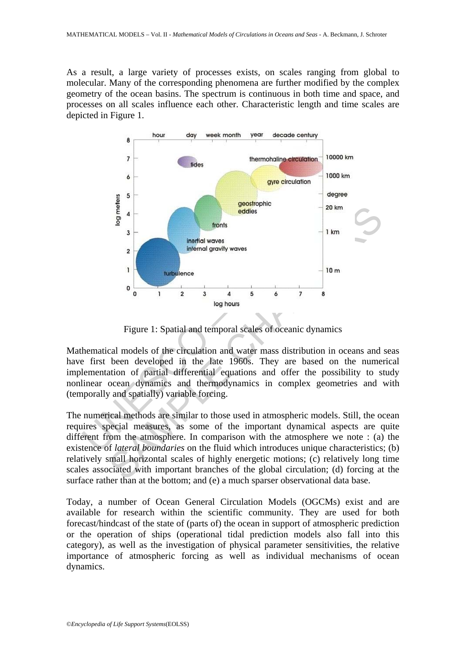As a result, a large variety of processes exists, on scales ranging from global to molecular. Many of the corresponding phenomena are further modified by the complex geometry of the ocean basins. The spectrum is continuous in both time and space, and processes on all scales influence each other. Characteristic length and time scales are depicted in Figure 1.



Figure 1: Spatial and temporal scales of oceanic dynamics

Mathematical models of the circulation and water mass distribution in oceans and seas have first been developed in the late 1960s. They are based on the numerical implementation of partial differential equations and offer the possibility to study nonlinear ocean dynamics and thermodynamics in complex geometries and with (temporally and spatially) variable forcing.

The numerical methods are similar to those used in atmospheric models. Still, the ocean requires special measures, as some of the important dynamical aspects are quite different from the atmosphere. In comparison with the atmosphere we note : (a) the existence of *lateral boundaries* on the fluid which introduces unique characteristics; (b) relatively small horizontal scales of highly energetic motions; (c) relatively long time scales associated with important branches of the global circulation; (d) forcing at the surface rather than at the bottom; and (e) a much sparser observational data base.

Today, a number of Ocean General Circulation Models (OGCMs) exist and are available for research within the scientific community. They are used for both forecast/hindcast of the state of (parts of) the ocean in support of atmospheric prediction or the operation of ships (operational tidal prediction models also fall into this category), as well as the investigation of physical parameter sensitivities, the relative importance of atmospheric forcing as well as individual mechanisms of ocean dynamics.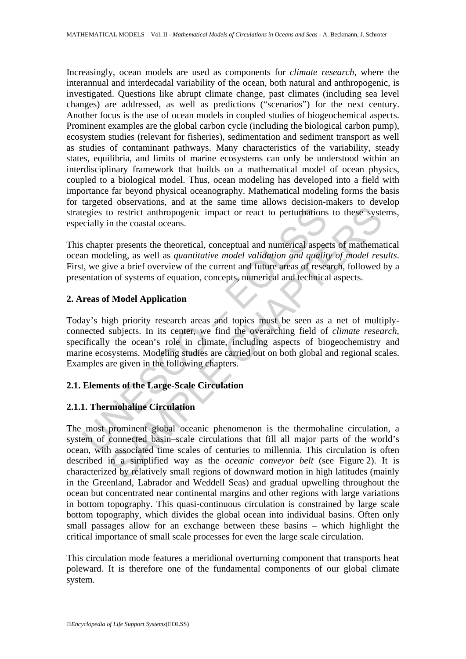Increasingly, ocean models are used as components for *climate research*, where the interannual and interdecadal variability of the ocean, both natural and anthropogenic, is investigated. Questions like abrupt climate change, past climates (including sea level changes) are addressed, as well as predictions ("scenarios") for the next century. Another focus is the use of ocean models in coupled studies of biogeochemical aspects. Prominent examples are the global carbon cycle (including the biological carbon pump), ecosystem studies (relevant for fisheries), sedimentation and sediment transport as well as studies of contaminant pathways. Many characteristics of the variability, steady states, equilibria, and limits of marine ecosystems can only be understood within an interdisciplinary framework that builds on a mathematical model of ocean physics, coupled to a biological model. Thus, ocean modeling has developed into a field with importance far beyond physical oceanography. Mathematical modeling forms the basis for targeted observations, and at the same time allows decision-makers to develop strategies to restrict anthropogenic impact or react to perturbations to these systems, especially in the coastal oceans.

This chapter presents the theoretical, conceptual and numerical aspects of mathematical ocean modeling, as well as *quantitative model validation and quality of model results*. First, we give a brief overview of the current and future areas of research, followed by a presentation of systems of equation, concepts, numerical and technical aspects.

#### **2. Areas of Model Application**

tegies to restrict anthropogenic impact or react to perturbations<br>cially in the coastal oceans.<br>So chapter presents the theoretical, conceptual and numerical aspect<br>an modelling, as well as *quantitative model validation a* Today's high priority research areas and topics must be seen as a net of multiplyconnected subjects. In its center, we find the overarching field of *climate research*, specifically the ocean's role in climate, including aspects of biogeochemistry and marine ecosystems. Modeling studies are carried out on both global and regional scales. Examples are given in the following chapters.

# **2.1. Elements of the Large-Scale Circulation**

### **2.1.1. Thermohaline Circulation**

To restrict anthropogenic impact or react to perturbations to these systs<br>in the coastal oceans.<br>For presents the theoretical, conceptual and numerical aspects of mathema<br>eling, as well as *quantitative model validation an* The most prominent global oceanic phenomenon is the thermohaline circulation, a system of connected basin–scale circulations that fill all major parts of the world's ocean, with associated time scales of centuries to millennia. This circulation is often described in a simplified way as the *oceanic conveyor belt* (see Figure 2). It is characterized by relatively small regions of downward motion in high latitudes (mainly in the Greenland, Labrador and Weddell Seas) and gradual upwelling throughout the ocean but concentrated near continental margins and other regions with large variations in bottom topography. This quasi-continuous circulation is constrained by large scale bottom topography, which divides the global ocean into individual basins. Often only small passages allow for an exchange between these basins – which highlight the critical importance of small scale processes for even the large scale circulation.

This circulation mode features a meridional overturning component that transports heat poleward. It is therefore one of the fundamental components of our global climate system.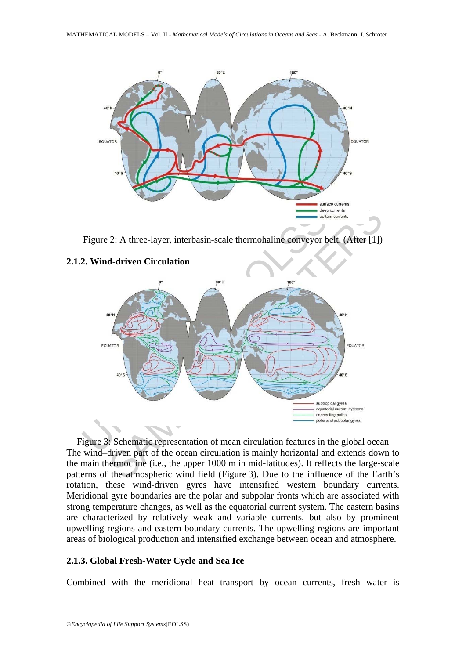

Figure 2: A three-layer, interbasin-scale thermohaline conveyor belt. (After [1])

#### **2.1.2. Wind-driven Circulation**



Figure 3: Schematic representation of mean circulation features in the global ocean The wind–driven part of the ocean circulation is mainly horizontal and extends down to the main thermocline (i.e., the upper 1000 m in mid-latitudes). It reflects the large-scale patterns of the atmospheric wind field (Figure 3). Due to the influence of the Earth's rotation, these wind-driven gyres have intensified western boundary currents. Meridional gyre boundaries are the polar and subpolar fronts which are associated with strong temperature changes, as well as the equatorial current system. The eastern basins are characterized by relatively weak and variable currents, but also by prominent upwelling regions and eastern boundary currents. The upwelling regions are important areas of biological production and intensified exchange between ocean and atmosphere.

#### **2.1.3. Global Fresh-Water Cycle and Sea Ice**

Combined with the meridional heat transport by ocean currents, fresh water is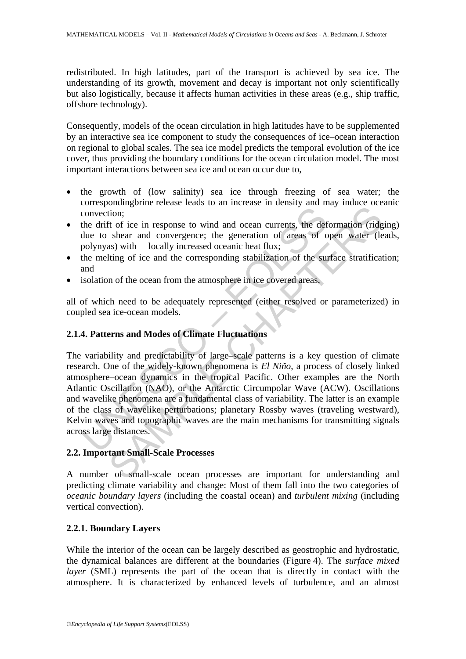redistributed. In high latitudes, part of the transport is achieved by sea ice. The understanding of its growth, movement and decay is important not only scientifically but also logistically, because it affects human activities in these areas (e.g., ship traffic, offshore technology).

Consequently, models of the ocean circulation in high latitudes have to be supplemented by an interactive sea ice component to study the consequences of ice–ocean interaction on regional to global scales. The sea ice model predicts the temporal evolution of the ice cover, thus providing the boundary conditions for the ocean circulation model. The most important interactions between sea ice and ocean occur due to,

- the growth of (low salinity) sea ice through freezing of sea water; the correspondingbrine release leads to an increase in density and may induce oceanic convection;
- the drift of ice in response to wind and ocean currents, the deformation (ridging) due to shear and convergence; the generation of areas of open water (leads, polynyas) with locally increased oceanic heat flux;
- the melting of ice and the corresponding stabilization of the surface stratification; and
- isolation of the ocean from the atmosphere in ice covered areas,

all of which need to be adequately represented (either resolved or parameterized) in coupled sea ice-ocean models.

# **2.1.4. Patterns and Modes of Climate Fluctuations**

convection;<br>
the drift of ice in response to wind and ocean currents, the def<br>
due to shear and convergence; the generation of areas of o<br>
polynyas) with locally increased oceanic heat flux;<br>
the melting of ice and the cor Show the collistic control and other states and controlled the methods of the deformation (inclusion; the deformation of a readily increased oceanic heat flux; the deformation of the surface and convergence; the generatio The variability and predictability of large–scale patterns is a key question of climate research. One of the widely-known phenomena is *El Niño*, a process of closely linked atmosphere–ocean dynamics in the tropical Pacific. Other examples are the North Atlantic Oscillation (NAO), or the Antarctic Circumpolar Wave (ACW). Oscillations and wavelike phenomena are a fundamental class of variability. The latter is an example of the class of wavelike perturbations; planetary Rossby waves (traveling westward), Kelvin waves and topographic waves are the main mechanisms for transmitting signals across large distances.

# **2.2. Important Small-Scale Processes**

A number of small-scale ocean processes are important for understanding and predicting climate variability and change: Most of them fall into the two categories of *oceanic boundary layers* (including the coastal ocean) and *turbulent mixing* (including vertical convection).

# **2.2.1. Boundary Layers**

While the interior of the ocean can be largely described as geostrophic and hydrostatic, the dynamical balances are different at the boundaries (Figure 4). The *surface mixed layer* (SML) represents the part of the ocean that is directly in contact with the atmosphere. It is characterized by enhanced levels of turbulence, and an almost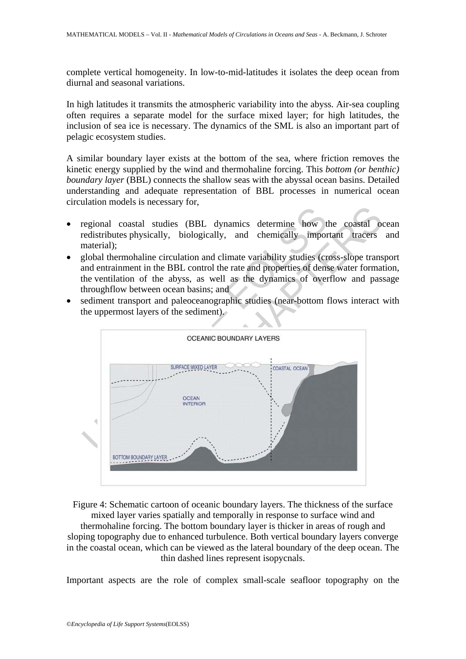complete vertical homogeneity. In low-to-mid-latitudes it isolates the deep ocean from diurnal and seasonal variations.

In high latitudes it transmits the atmospheric variability into the abyss. Air-sea coupling often requires a separate model for the surface mixed layer; for high latitudes, the inclusion of sea ice is necessary. The dynamics of the SML is also an important part of pelagic ecosystem studies.

A similar boundary layer exists at the bottom of the sea, where friction removes the kinetic energy supplied by the wind and thermohaline forcing. This *bottom (or benthic) boundary layer* (BBL) connects the shallow seas with the abyssal ocean basins. Detailed understanding and adequate representation of BBL processes in numerical ocean circulation models is necessary for,

- regional coastal studies (BBL dynamics determine how the coastal ocean redistributes physically, biologically, and chemically important tracers and material);
- global thermohaline circulation and climate variability studies (cross-slope transport and entrainment in the BBL control the rate and properties of dense water formation, the ventilation of the abyss, as well as the dynamics of overflow and passage throughflow between ocean basins; and
- sediment transport and paleoceanographic studies (near-bottom flows interact with the uppermost layers of the sediment).



Figure 4: Schematic cartoon of oceanic boundary layers. The thickness of the surface mixed layer varies spatially and temporally in response to surface wind and thermohaline forcing. The bottom boundary layer is thicker in areas of rough and sloping topography due to enhanced turbulence. Both vertical boundary layers converge in the coastal ocean, which can be viewed as the lateral boundary of the deep ocean. The thin dashed lines represent isopycnals.

Important aspects are the role of complex small-scale seafloor topography on the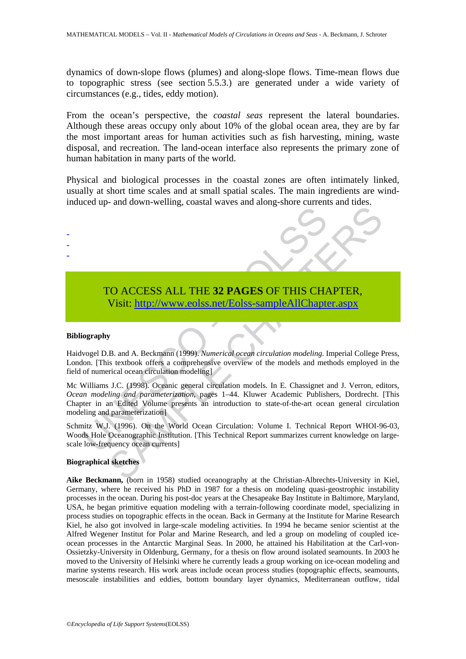dynamics of down-slope flows (plumes) and along-slope flows. Time-mean flows due to topographic stress (see section 5.5.3.) are generated under a wide variety of circumstances (e.g., tides, eddy motion).

From the ocean's perspective, the *coastal seas* represent the lateral boundaries. Although these areas occupy only about 10% of the global ocean area, they are by far the most important areas for human activities such as fish harvesting, mining, waste disposal, and recreation. The land-ocean interface also represents the primary zone of human habitation in many parts of the world.

Physical and biological processes in the coastal zones are often intimately linked, usually at short time scales and at small spatial scales. The main ingredients are windinduced up- and down-welling, coastal waves and along-shore currents and tides.

# TO ACCESS ALL THE **32 PAGES** OF THIS CHAPTER, Visit: http://www.eolss.net/Eolss-sampleAllChapter.aspx

#### **Bibliography**

- - -

Haidvogel D.B. and A. Beckmann (1999). *Numerical ocean circulation modeling*. Imperial College Press, London. [This textbook offers a comprehensive overview of the models and methods employed in the field of numerical ocean circulation modeling]

TO ACCESS ALL THE 32 PAGES OF THIS CHA Visit: http://www.eolss.net/Eolss-sampleAllChapte<br>
vogel D.B. and A. Beckmann (1999). Numerical ocean circulation modeling. 1<br>
of numerical ocean circulation modeling of the models an CO ACCESS ALL THE 32 PAGES OF THIS C[HAP](https://www.eolss.net/ebooklib/sc_cart.aspx?File=E6-03B-02-03)TER,<br>
SAMPLE CHAPTER, Visit: http://www.eolss.net/Eolss-sampleAllChapter.aspx<br>
F. and A. Beckmann (1999). Numerical ocean circulation modeling. Imperial College F<br>
is textbook offers Mc Williams J.C. (1998). Oceanic general circulation models. In E. Chassignet and J. Verron, editors, *Ocean modeling and parameterization*, pages 1–44. Kluwer Academic Publishers, Dordrecht. [This Chapter in an Edited Volume presents an introduction to state-of-the-art ocean general circulation modeling and parameterization]

Schmitz W.J. (1996). On the World Ocean Circulation: Volume I. Technical Report WHOI-96-03, Woods Hole Oceanographic Institution. [This Technical Report summarizes current knowledge on largescale low-frequency ocean currents]

#### **Biographical sketches**

**Aike Beckmann,** (born in 1958) studied oceanography at the Christian-Albrechts-University in Kiel, Germany, where he received his PhD in 1987 for a thesis on modeling quasi-geostrophic instability processes in the ocean. During his post-doc years at the Chesapeake Bay Institute in Baltimore, Maryland, USA, he began primitive equation modeling with a terrain-following coordinate model, specializing in process studies on topographic effects in the ocean. Back in Germany at the Institute for Marine Research Kiel, he also got involved in large-scale modeling activities. In 1994 he became senior scientist at the Alfred Wegener Institut for Polar and Marine Research, and led a group on modeling of coupled iceocean processes in the Antarctic Marginal Seas. In 2000, he attained his Habilitation at the Carl-von-Ossietzky-University in Oldenburg, Germany, for a thesis on flow around isolated seamounts. In 2003 he moved to the University of Helsinki where he currently leads a group working on ice-ocean modeling and marine systems research. His work areas include ocean process studies (topographic effects, seamounts, mesoscale instabilities and eddies, bottom boundary layer dynamics, Mediterranean outflow, tidal